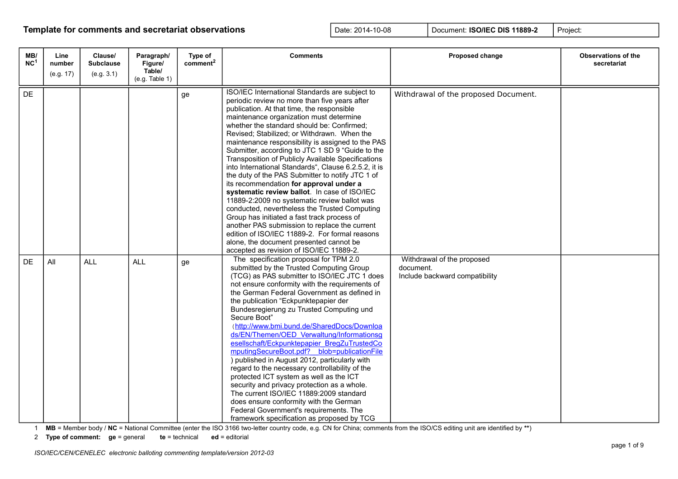| MB/<br>NC <sup>1</sup> | Line<br>number<br>(e.g. 17) | Clause/<br><b>Subclause</b><br>(e.g. 3.1) | Paragraph/<br>Figure/<br>Table/ | Type of<br>comment <sup>2</sup> | <b>Comments</b>                                                                                                                                                                                                                                                                                                                                                                                                                                                                                                                                                                                                                                                                                                                                                                                                                                                                                                                                     | Proposed change                                                           | <b>Observations of the</b><br>secretariat |
|------------------------|-----------------------------|-------------------------------------------|---------------------------------|---------------------------------|-----------------------------------------------------------------------------------------------------------------------------------------------------------------------------------------------------------------------------------------------------------------------------------------------------------------------------------------------------------------------------------------------------------------------------------------------------------------------------------------------------------------------------------------------------------------------------------------------------------------------------------------------------------------------------------------------------------------------------------------------------------------------------------------------------------------------------------------------------------------------------------------------------------------------------------------------------|---------------------------------------------------------------------------|-------------------------------------------|
|                        |                             |                                           | (e.g. Table 1)                  |                                 | ISO/IEC International Standards are subject to                                                                                                                                                                                                                                                                                                                                                                                                                                                                                                                                                                                                                                                                                                                                                                                                                                                                                                      |                                                                           |                                           |
| DE                     |                             |                                           |                                 | ge                              | periodic review no more than five years after<br>publication. At that time, the responsible<br>maintenance organization must determine<br>whether the standard should be: Confirmed;<br>Revised; Stabilized; or Withdrawn. When the<br>maintenance responsibility is assigned to the PAS<br>Submitter, according to JTC 1 SD 9 "Guide to the<br>Transposition of Publicly Available Specifications<br>into International Standards", Clause 6.2.5.2, it is<br>the duty of the PAS Submitter to notify JTC 1 of<br>its recommendation for approval under a<br>systematic review ballot. In case of ISO/IEC<br>11889-2:2009 no systematic review ballot was<br>conducted, nevertheless the Trusted Computing<br>Group has initiated a fast track process of<br>another PAS submission to replace the current<br>edition of ISO/IEC 11889-2. For formal reasons<br>alone, the document presented cannot be<br>accepted as revision of ISO/IEC 11889-2. | Withdrawal of the proposed Document.                                      |                                           |
| <b>DE</b>              | All                         | <b>ALL</b>                                | <b>ALL</b>                      | ge                              | The specification proposal for TPM 2.0<br>submitted by the Trusted Computing Group<br>(TCG) as PAS submitter to ISO/IEC JTC 1 does<br>not ensure conformity with the requirements of<br>the German Federal Government as defined in<br>the publication "Eckpunktepapier der<br>Bundesregierung zu Trusted Computing und<br>Secure Boot"<br>(http://www.bmi.bund.de/SharedDocs/Downloa<br>ds/EN/Themen/OED Verwaltung/Informationsg<br>esellschaft/Eckpunktepapier BregZuTrustedCo<br>mputingSecureBoot.pdf? blob=publicationFile<br>) published in August 2012, particularly with<br>regard to the necessary controllability of the<br>protected ICT system as well as the ICT<br>security and privacy protection as a whole.<br>The current ISO/IEC 11889:2009 standard<br>does ensure conformity with the German<br>Federal Government's requirements. The<br>framework specification as proposed by TCG                                          | Withdrawal of the proposed<br>document.<br>Include backward compatibility |                                           |

1 **MB** = Member body / **NC** = National Committee (enter the ISO 3166 two-letter country code, e.g. CN for China; comments from the ISO/CS editing unit are identified by **\*\***)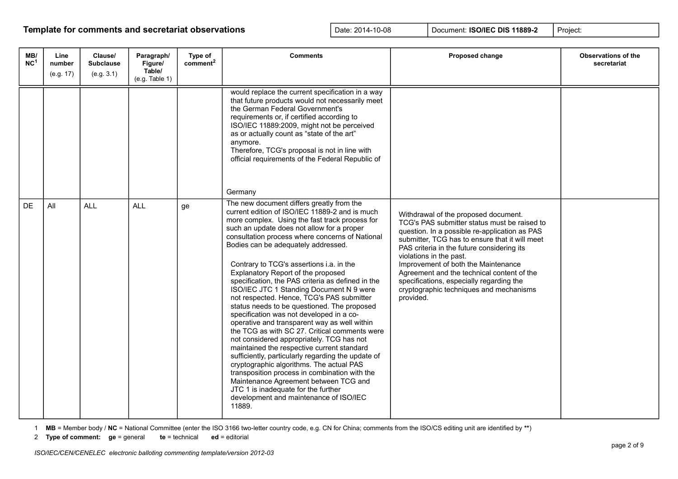| MB/<br>NC <sup>1</sup> | Line<br>number<br>(e.g. 17) | Clause/<br><b>Subclause</b><br>(e.g. 3.1) | Paragraph/<br>Figure/<br>Table/<br>(e.g. Table 1) | Type of<br>comment <sup>2</sup> | <b>Comments</b>                                                                                                                                                                                                                                                                                                                                                                                                                                                                                                                                                                                                                                                                                                                                                                                                                                                                                                                                                                                                                                                                                     | <b>Proposed change</b>                                                                                                                                                                                                                                                                                                                                                                                                                                    | Observations of the<br>secretariat |
|------------------------|-----------------------------|-------------------------------------------|---------------------------------------------------|---------------------------------|-----------------------------------------------------------------------------------------------------------------------------------------------------------------------------------------------------------------------------------------------------------------------------------------------------------------------------------------------------------------------------------------------------------------------------------------------------------------------------------------------------------------------------------------------------------------------------------------------------------------------------------------------------------------------------------------------------------------------------------------------------------------------------------------------------------------------------------------------------------------------------------------------------------------------------------------------------------------------------------------------------------------------------------------------------------------------------------------------------|-----------------------------------------------------------------------------------------------------------------------------------------------------------------------------------------------------------------------------------------------------------------------------------------------------------------------------------------------------------------------------------------------------------------------------------------------------------|------------------------------------|
|                        |                             |                                           |                                                   |                                 | would replace the current specification in a way<br>that future products would not necessarily meet<br>the German Federal Government's<br>requirements or, if certified according to<br>ISO/IEC 11889:2009, might not be perceived<br>as or actually count as "state of the art"<br>anymore.<br>Therefore, TCG's proposal is not in line with<br>official requirements of the Federal Republic of<br>Germany                                                                                                                                                                                                                                                                                                                                                                                                                                                                                                                                                                                                                                                                                        |                                                                                                                                                                                                                                                                                                                                                                                                                                                           |                                    |
| <b>DE</b>              | All                         | <b>ALL</b>                                | <b>ALL</b>                                        | ge                              | The new document differs greatly from the<br>current edition of ISO/IEC 11889-2 and is much<br>more complex. Using the fast track process for<br>such an update does not allow for a proper<br>consultation process where concerns of National<br>Bodies can be adequately addressed.<br>Contrary to TCG's assertions i.a. in the<br>Explanatory Report of the proposed<br>specification, the PAS criteria as defined in the<br>ISO/IEC JTC 1 Standing Document N 9 were<br>not respected. Hence, TCG's PAS submitter<br>status needs to be questioned. The proposed<br>specification was not developed in a co-<br>operative and transparent way as well within<br>the TCG as with SC 27. Critical comments were<br>not considered appropriately. TCG has not<br>maintained the respective current standard<br>sufficiently, particularly regarding the update of<br>cryptographic algorithms. The actual PAS<br>transposition process in combination with the<br>Maintenance Agreement between TCG and<br>JTC 1 is inadequate for the further<br>development and maintenance of ISO/IEC<br>11889. | Withdrawal of the proposed document.<br>TCG's PAS submitter status must be raised to<br>question. In a possible re-application as PAS<br>submitter, TCG has to ensure that it will meet<br>PAS criteria in the future considering its<br>violations in the past.<br>Improvement of both the Maintenance<br>Agreement and the technical content of the<br>specifications, especially regarding the<br>cryptographic techniques and mechanisms<br>provided. |                                    |

1 **MB** = Member body / **NC** = National Committee (enter the ISO 3166 two-letter country code, e.g. CN for China; comments from the ISO/CS editing unit are identified by **\*\***)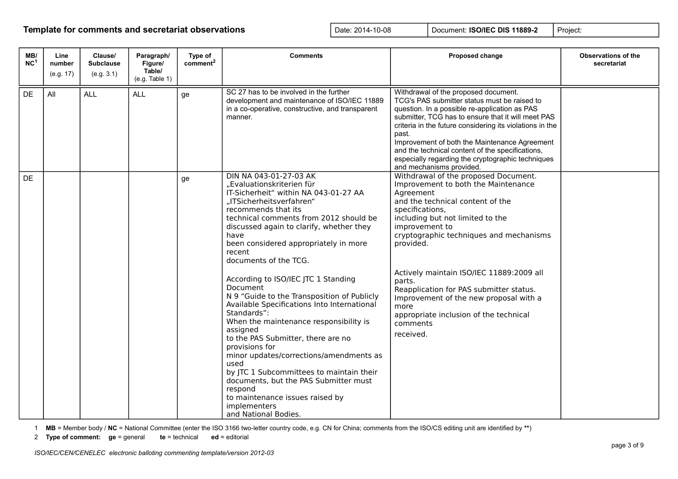| MB/<br>NC <sup>1</sup> | Line<br>number<br>(e.g. 17) | Clause/<br><b>Subclause</b><br>(e.g. 3.1) | Paragraph/<br>Figure/<br>Table/<br>(e.g. Table 1) | Type of<br>comment <sup>2</sup> | <b>Comments</b>                                                                                                                                                                                                                                                                                                                                                                                                                                                                                                                                                                                                                                                                                                                                                                                                                       | Proposed change                                                                                                                                                                                                                                                                                                                                                                                                                                                                     | <b>Observations of the</b><br>secretariat |
|------------------------|-----------------------------|-------------------------------------------|---------------------------------------------------|---------------------------------|---------------------------------------------------------------------------------------------------------------------------------------------------------------------------------------------------------------------------------------------------------------------------------------------------------------------------------------------------------------------------------------------------------------------------------------------------------------------------------------------------------------------------------------------------------------------------------------------------------------------------------------------------------------------------------------------------------------------------------------------------------------------------------------------------------------------------------------|-------------------------------------------------------------------------------------------------------------------------------------------------------------------------------------------------------------------------------------------------------------------------------------------------------------------------------------------------------------------------------------------------------------------------------------------------------------------------------------|-------------------------------------------|
| DE                     | All                         | <b>ALL</b>                                | <b>ALL</b>                                        | ge                              | SC 27 has to be involved in the further<br>development and maintenance of ISO/IEC 11889<br>in a co-operative, constructive, and transparent<br>manner.                                                                                                                                                                                                                                                                                                                                                                                                                                                                                                                                                                                                                                                                                | Withdrawal of the proposed document.<br>TCG's PAS submitter status must be raised to<br>question. In a possible re-application as PAS<br>submitter, TCG has to ensure that it will meet PAS<br>criteria in the future considering its violations in the<br>past.<br>Improvement of both the Maintenance Agreement<br>and the technical content of the specifications,<br>especially regarding the cryptographic techniques<br>and mechanisms provided.                              |                                           |
| <b>DE</b>              |                             |                                           |                                                   | ge                              | DIN NA 043-01-27-03 AK<br>"Evaluationskriterien für<br>IT-Sicherheit" within NA 043-01-27 AA<br>"ITSicherheitsverfahren"<br>recommends that its<br>technical comments from 2012 should be<br>discussed again to clarify, whether they<br>have<br>been considered appropriately in more<br>recent<br>documents of the TCG.<br>According to ISO/IEC JTC 1 Standing<br>Document<br>N 9 "Guide to the Transposition of Publicly<br>Available Specifications Into International<br>Standards":<br>When the maintenance responsibility is<br>assigned<br>to the PAS Submitter, there are no<br>provisions for<br>minor updates/corrections/amendments as<br>used<br>by JTC 1 Subcommittees to maintain their<br>documents, but the PAS Submitter must<br>respond<br>to maintenance issues raised by<br>implementers<br>and National Bodies. | Withdrawal of the proposed Document.<br>Improvement to both the Maintenance<br>Agreement<br>and the technical content of the<br>specifications,<br>including but not limited to the<br>improvement to<br>cryptographic techniques and mechanisms<br>provided.<br>Actively maintain ISO/IEC 11889:2009 all<br>parts.<br>Reapplication for PAS submitter status.<br>Improvement of the new proposal with a<br>more<br>appropriate inclusion of the technical<br>comments<br>received. |                                           |

1 **MB** = Member body / **NC** = National Committee (enter the ISO 3166 two-letter country code, e.g. CN for China; comments from the ISO/CS editing unit are identified by **\*\***)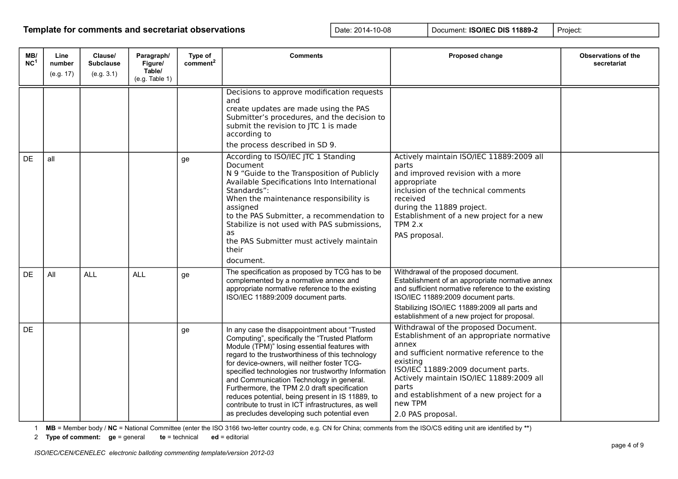| MB/<br>NC <sup>1</sup> | Line<br>number<br>(e.g. 17) | Clause/<br><b>Subclause</b><br>(e.g. 3.1) | Paragraph/<br>Figure/<br>Table/<br>(e.g. Table 1) | Type of<br>comment <sup>2</sup> | <b>Comments</b>                                                                                                                                                                                                                                                                                                                                                                                                                                                                                                                                                | Proposed change                                                                                                                                                                                                                                                                                                            | <b>Observations of the</b><br>secretariat |
|------------------------|-----------------------------|-------------------------------------------|---------------------------------------------------|---------------------------------|----------------------------------------------------------------------------------------------------------------------------------------------------------------------------------------------------------------------------------------------------------------------------------------------------------------------------------------------------------------------------------------------------------------------------------------------------------------------------------------------------------------------------------------------------------------|----------------------------------------------------------------------------------------------------------------------------------------------------------------------------------------------------------------------------------------------------------------------------------------------------------------------------|-------------------------------------------|
|                        |                             |                                           |                                                   |                                 | Decisions to approve modification requests<br>and<br>create updates are made using the PAS<br>Submitter's procedures, and the decision to<br>submit the revision to JTC 1 is made<br>according to<br>the process described in SD 9.                                                                                                                                                                                                                                                                                                                            |                                                                                                                                                                                                                                                                                                                            |                                           |
| <b>DE</b>              | all                         |                                           |                                                   | ge                              | According to ISO/IEC JTC 1 Standing<br>Document<br>N 9 "Guide to the Transposition of Publicly<br>Available Specifications Into International<br>Standards":<br>When the maintenance responsibility is<br>assigned<br>to the PAS Submitter, a recommendation to<br>Stabilize is not used with PAS submissions,<br>as<br>the PAS Submitter must actively maintain<br>their<br>document.                                                                                                                                                                         | Actively maintain ISO/IEC 11889:2009 all<br>parts<br>and improved revision with a more<br>appropriate<br>inclusion of the technical comments<br>received<br>during the 11889 project.<br>Establishment of a new project for a new<br>TPM 2.x<br>PAS proposal.                                                              |                                           |
| DE                     | All                         | <b>ALL</b>                                | <b>ALL</b>                                        | ge                              | The specification as proposed by TCG has to be<br>complemented by a normative annex and<br>appropriate normative reference to the existing<br>ISO/IEC 11889:2009 document parts.                                                                                                                                                                                                                                                                                                                                                                               | Withdrawal of the proposed document.<br>Establishment of an appropriate normative annex<br>and sufficient normative reference to the existing<br>ISO/IEC 11889:2009 document parts.<br>Stabilizing ISO/IEC 11889:2009 all parts and<br>establishment of a new project for proposal.                                        |                                           |
| <b>DE</b>              |                             |                                           |                                                   | ge                              | In any case the disappointment about "Trusted<br>Computing", specifically the "Trusted Platform<br>Module (TPM)" losing essential features with<br>regard to the trustworthiness of this technology<br>for device-owners, will neither foster TCG-<br>specified technologies nor trustworthy Information<br>and Communication Technology in general.<br>Furthermore, the TPM 2.0 draft specification<br>reduces potential, being present in IS 11889, to<br>contribute to trust in ICT infrastructures, as well<br>as precludes developing such potential even | Withdrawal of the proposed Document.<br>Establishment of an appropriate normative<br>annex<br>and sufficient normative reference to the<br>existing<br>ISO/IEC 11889:2009 document parts.<br>Actively maintain ISO/IEC 11889:2009 all<br>parts<br>and establishment of a new project for a<br>new TPM<br>2.0 PAS proposal. |                                           |

1 **MB** = Member body / **NC** = National Committee (enter the ISO 3166 two-letter country code, e.g. CN for China; comments from the ISO/CS editing unit are identified by **\*\***)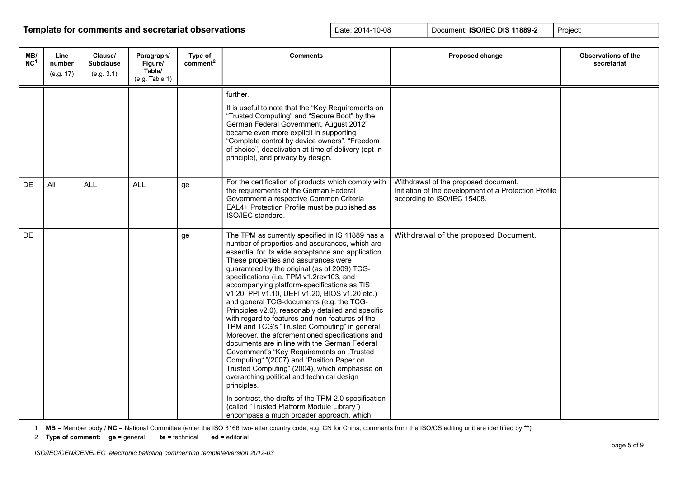| MB/<br>NC <sup>1</sup> | Line<br>number<br>(e.g. 17) | Clause/<br><b>Subclause</b><br>(e.g. 3.1) | Paragraph/<br>Figure/<br>Table/<br>(e.g. Table 1) | Type of<br>comment <sup>2</sup> | <b>Comments</b>                                                                                                                                                                                                                                                                                                                                                                                                                                                                                                                                                                                                                                                                                                                                                                                                                                                                                                                                                                                                                                                    | Proposed change                                                                                                              | <b>Observations of the</b><br>secretariat |
|------------------------|-----------------------------|-------------------------------------------|---------------------------------------------------|---------------------------------|--------------------------------------------------------------------------------------------------------------------------------------------------------------------------------------------------------------------------------------------------------------------------------------------------------------------------------------------------------------------------------------------------------------------------------------------------------------------------------------------------------------------------------------------------------------------------------------------------------------------------------------------------------------------------------------------------------------------------------------------------------------------------------------------------------------------------------------------------------------------------------------------------------------------------------------------------------------------------------------------------------------------------------------------------------------------|------------------------------------------------------------------------------------------------------------------------------|-------------------------------------------|
|                        |                             |                                           |                                                   |                                 | further.<br>It is useful to note that the "Key Requirements on<br>"Trusted Computing" and "Secure Boot" by the<br>German Federal Government, August 2012"<br>became even more explicit in supporting<br>"Complete control by device owners", "Freedom<br>of choice", deactivation at time of delivery (opt-in<br>principle), and privacy by design.                                                                                                                                                                                                                                                                                                                                                                                                                                                                                                                                                                                                                                                                                                                |                                                                                                                              |                                           |
| <b>DE</b>              | All                         | <b>ALL</b>                                | <b>ALL</b>                                        | ge                              | For the certification of products which comply with<br>the requirements of the German Federal<br>Government a respective Common Criteria<br>EAL4+ Protection Profile must be published as<br>ISO/IEC standard.                                                                                                                                                                                                                                                                                                                                                                                                                                                                                                                                                                                                                                                                                                                                                                                                                                                     | Withdrawal of the proposed document.<br>Initiation of the development of a Protection Profile<br>according to ISO/IEC 15408. |                                           |
| <b>DE</b>              |                             |                                           |                                                   | ge                              | The TPM as currently specified in IS 11889 has a<br>number of properties and assurances, which are<br>essential for its wide acceptance and application.<br>These properties and assurances were<br>guaranteed by the original (as of 2009) TCG-<br>specifications (i.e. TPM v1.2rev103, and<br>accompanying platform-specifications as TIS<br>v1.20, PPI v1.10, UEFI v1.20, BIOS v1.20 etc.)<br>and general TCG-documents (e.g. the TCG-<br>Principles v2.0), reasonably detailed and specific<br>with regard to features and non-features of the<br>TPM and TCG's "Trusted Computing" in general.<br>Moreover, the aforementioned specifications and<br>documents are in line with the German Federal<br>Government's "Key Requirements on "Trusted<br>Computing" "(2007) and "Position Paper on<br>Trusted Computing" (2004), which emphasise on<br>overarching political and technical design<br>principles.<br>In contrast, the drafts of the TPM 2.0 specification<br>(called "Trusted Platform Module Library")<br>encompass a much broader approach, which | Withdrawal of the proposed Document.                                                                                         |                                           |

1 **MB** = Member body / **NC** = National Committee (enter the ISO 3166 two-letter country code, e.g. CN for China; comments from the ISO/CS editing unit are identified by **\*\***)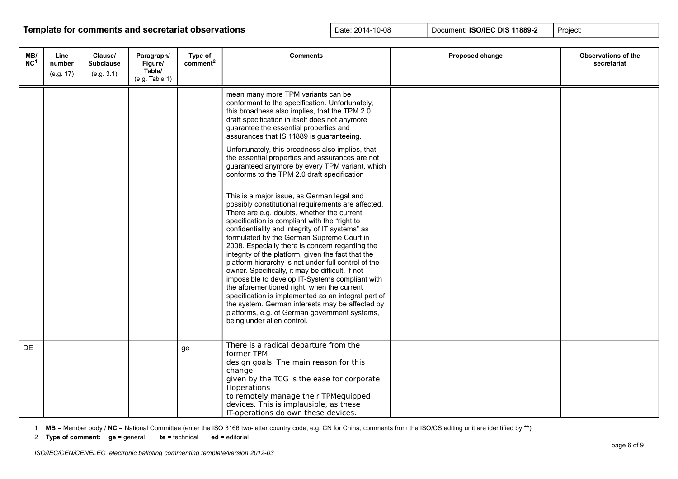| MB/<br>NC <sup>1</sup> | Line<br>number<br>(e.g. 17) | Clause/<br><b>Subclause</b><br>(e.g. 3.1) | Paragraph/<br>Figure/<br>Table/<br>(e.g. Table 1) | Type of<br>comment <sup>2</sup> | <b>Comments</b>                                                                                                                                                                                                                                                                                                                                                                                                                                                                                                                                                                                                                                                                                                                                                                                                                                                                                                                                                                                                                                                                                                                                                                                                                                                                                          | Proposed change | <b>Observations of the</b><br>secretariat |
|------------------------|-----------------------------|-------------------------------------------|---------------------------------------------------|---------------------------------|----------------------------------------------------------------------------------------------------------------------------------------------------------------------------------------------------------------------------------------------------------------------------------------------------------------------------------------------------------------------------------------------------------------------------------------------------------------------------------------------------------------------------------------------------------------------------------------------------------------------------------------------------------------------------------------------------------------------------------------------------------------------------------------------------------------------------------------------------------------------------------------------------------------------------------------------------------------------------------------------------------------------------------------------------------------------------------------------------------------------------------------------------------------------------------------------------------------------------------------------------------------------------------------------------------|-----------------|-------------------------------------------|
|                        |                             |                                           |                                                   |                                 | mean many more TPM variants can be<br>conformant to the specification. Unfortunately,<br>this broadness also implies, that the TPM 2.0<br>draft specification in itself does not anymore<br>guarantee the essential properties and<br>assurances that IS 11889 is guaranteeing.<br>Unfortunately, this broadness also implies, that<br>the essential properties and assurances are not<br>guaranteed anymore by every TPM variant, which<br>conforms to the TPM 2.0 draft specification<br>This is a major issue, as German legal and<br>possibly constitutional requirements are affected.<br>There are e.g. doubts, whether the current<br>specification is compliant with the "right to<br>confidentiality and integrity of IT systems" as<br>formulated by the German Supreme Court in<br>2008. Especially there is concern regarding the<br>integrity of the platform, given the fact that the<br>platform hierarchy is not under full control of the<br>owner. Specifically, it may be difficult, if not<br>impossible to develop IT-Systems compliant with<br>the aforementioned right, when the current<br>specification is implemented as an integral part of<br>the system. German interests may be affected by<br>platforms, e.g. of German government systems,<br>being under alien control. |                 |                                           |
| <b>DE</b>              |                             |                                           |                                                   | ge                              | There is a radical departure from the<br>former TPM<br>design goals. The main reason for this<br>change<br>given by the TCG is the ease for corporate<br><b>IToperations</b><br>to remotely manage their TPMequipped<br>devices. This is implausible, as these<br>IT-operations do own these devices.                                                                                                                                                                                                                                                                                                                                                                                                                                                                                                                                                                                                                                                                                                                                                                                                                                                                                                                                                                                                    |                 |                                           |

1 **MB** = Member body / **NC** = National Committee (enter the ISO 3166 two-letter country code, e.g. CN for China; comments from the ISO/CS editing unit are identified by **\*\***)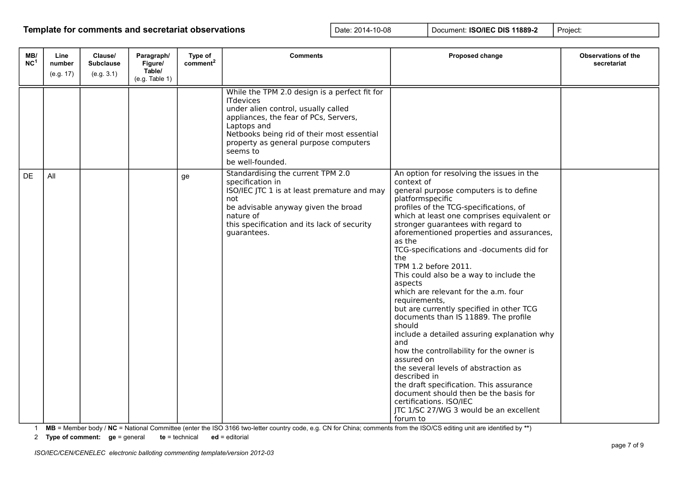| MB/<br>NC <sup>1</sup> | Line<br>number<br>(e.g. 17) | Clause/<br><b>Subclause</b><br>(e.g. 3.1) | Paragraph/<br>Figure/<br>Table/<br>(e.g. Table 1) | Type of<br>comment <sup>2</sup> | <b>Comments</b>                                                                                                                                                                                                                                                                         | Proposed change                                                                                                                                                                                                                                                                                                                                                                                                                                                                                                                                                                                                                                                                                                                                                                                                                                                                                                                                  | <b>Observations of the</b><br>secretariat |
|------------------------|-----------------------------|-------------------------------------------|---------------------------------------------------|---------------------------------|-----------------------------------------------------------------------------------------------------------------------------------------------------------------------------------------------------------------------------------------------------------------------------------------|--------------------------------------------------------------------------------------------------------------------------------------------------------------------------------------------------------------------------------------------------------------------------------------------------------------------------------------------------------------------------------------------------------------------------------------------------------------------------------------------------------------------------------------------------------------------------------------------------------------------------------------------------------------------------------------------------------------------------------------------------------------------------------------------------------------------------------------------------------------------------------------------------------------------------------------------------|-------------------------------------------|
|                        |                             |                                           |                                                   |                                 | While the TPM 2.0 design is a perfect fit for<br><b>ITdevices</b><br>under alien control, usually called<br>appliances, the fear of PCs, Servers,<br>Laptops and<br>Netbooks being rid of their most essential<br>property as general purpose computers<br>seems to<br>be well-founded. |                                                                                                                                                                                                                                                                                                                                                                                                                                                                                                                                                                                                                                                                                                                                                                                                                                                                                                                                                  |                                           |
| DE                     | All                         |                                           |                                                   | ge                              | Standardising the current TPM 2.0<br>specification in<br>ISO/IEC JTC 1 is at least premature and may<br>not<br>be advisable anyway given the broad<br>nature of<br>this specification and its lack of security<br>quarantees.                                                           | An option for resolving the issues in the<br>context of<br>general purpose computers is to define<br>platformspecific<br>profiles of the TCG-specifications, of<br>which at least one comprises equivalent or<br>stronger guarantees with regard to<br>aforementioned properties and assurances,<br>as the<br>TCG-specifications and -documents did for<br>the<br>TPM 1.2 before 2011.<br>This could also be a way to include the<br>aspects<br>which are relevant for the a.m. four<br>requirements,<br>but are currently specified in other TCG<br>documents than IS 11889. The profile<br>should<br>include a detailed assuring explanation why<br>and<br>how the controllability for the owner is<br>assured on<br>the several levels of abstraction as<br>described in<br>the draft specification. This assurance<br>document should then be the basis for<br>certifications. ISO/IEC<br>JTC 1/SC 27/WG 3 would be an excellent<br>forum to |                                           |

1 **MB** = Member body / **NC** = National Committee (enter the ISO 3166 two-letter country code, e.g. CN for China; comments from the ISO/CS editing unit are identified by **\*\***)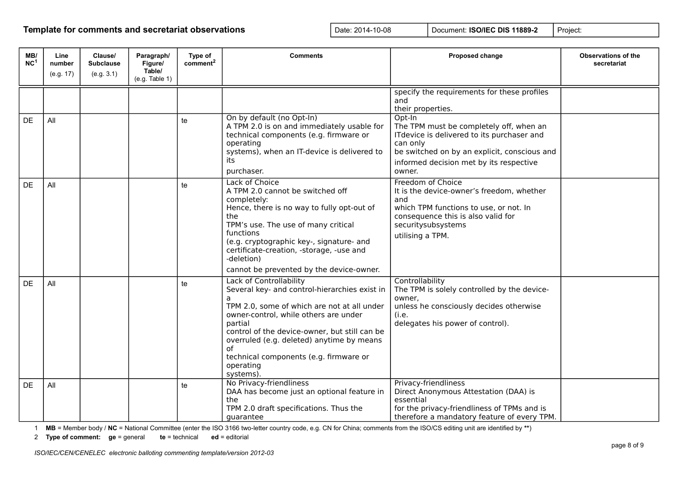| MB/<br>NC <sup>1</sup> | Line<br>number<br>(e.g. 17) | Clause/<br><b>Subclause</b><br>(e.g. 3.1) | Paragraph/<br>Figure/<br>Table/<br>(e.g. Table 1) | Type of<br>comment <sup>2</sup> | <b>Comments</b>                                                                                                                                                                                                                                                                                                                                          | Proposed change                                                                                                                                                                                                  | <b>Observations of the</b><br>secretariat |
|------------------------|-----------------------------|-------------------------------------------|---------------------------------------------------|---------------------------------|----------------------------------------------------------------------------------------------------------------------------------------------------------------------------------------------------------------------------------------------------------------------------------------------------------------------------------------------------------|------------------------------------------------------------------------------------------------------------------------------------------------------------------------------------------------------------------|-------------------------------------------|
|                        |                             |                                           |                                                   |                                 |                                                                                                                                                                                                                                                                                                                                                          | specify the requirements for these profiles<br>and<br>their properties.                                                                                                                                          |                                           |
| DE                     | All                         |                                           |                                                   | te                              | On by default (no Opt-In)<br>A TPM 2.0 is on and immediately usable for<br>technical components (e.g. firmware or<br>operating<br>systems), when an IT-device is delivered to<br>its<br>purchaser.                                                                                                                                                       | Opt-In<br>The TPM must be completely off, when an<br>ITdevice is delivered to its purchaser and<br>can only<br>be switched on by an explicit, conscious and<br>informed decision met by its respective<br>owner. |                                           |
| DE                     | All                         |                                           |                                                   | te                              | Lack of Choice<br>A TPM 2.0 cannot be switched off<br>completely:<br>Hence, there is no way to fully opt-out of<br>the<br>TPM's use. The use of many critical<br>functions<br>(e.g. cryptographic key-, signature- and<br>certificate-creation, -storage, -use and<br>-deletion)<br>cannot be prevented by the device-owner.                             | Freedom of Choice<br>It is the device-owner's freedom, whether<br>and<br>which TPM functions to use, or not. In<br>consequence this is also valid for<br>securitysubsystems<br>utilising a TPM.                  |                                           |
| DE                     | All                         |                                           |                                                   | te                              | Lack of Controllability<br>Several key- and control-hierarchies exist in<br>a<br>TPM 2.0, some of which are not at all under<br>owner-control, while others are under<br>partial<br>control of the device-owner, but still can be<br>overruled (e.g. deleted) anytime by means<br>of<br>technical components (e.g. firmware or<br>operating<br>systems). | Controllability<br>The TPM is solely controlled by the device-<br>owner,<br>unless he consciously decides otherwise<br>(i.e.<br>delegates his power of control).                                                 |                                           |
| DE                     | All                         |                                           |                                                   | te                              | No Privacy-friendliness<br>DAA has become just an optional feature in<br>the<br>TPM 2.0 draft specifications. Thus the<br>quarantee                                                                                                                                                                                                                      | Privacy-friendliness<br>Direct Anonymous Attestation (DAA) is<br>essential<br>for the privacy-friendliness of TPMs and is<br>therefore a mandatory feature of every TPM.                                         |                                           |

1 **MB** = Member body / **NC** = National Committee (enter the ISO 3166 two-letter country code, e.g. CN for China; comments from the ISO/CS editing unit are identified by **\*\***)